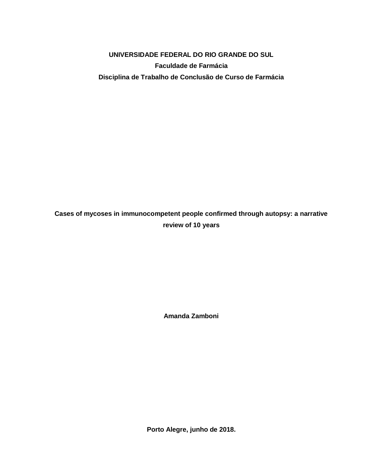# **UNIVERSIDADE FEDERAL DO RIO GRANDE DO SUL Faculdade de Farmácia Disciplina de Trabalho de Conclusão de Curso de Farmácia**

# **Cases of mycoses in immunocompetent people confirmed through autopsy: a narrative review of 10 years**

**Amanda Zamboni**

**Porto Alegre, junho de 2018.**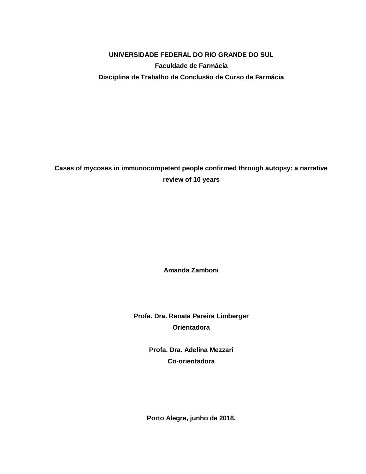# **UNIVERSIDADE FEDERAL DO RIO GRANDE DO SUL Faculdade de Farmácia Disciplina de Trabalho de Conclusão de Curso de Farmácia**

# **Cases of mycoses in immunocompetent people confirmed through autopsy: a narrative review of 10 years**

**Amanda Zamboni**

**Profa. Dra. Renata Pereira Limberger Orientadora**

> **Profa. Dra. Adelina Mezzari Co-orientadora**

**Porto Alegre, junho de 2018.**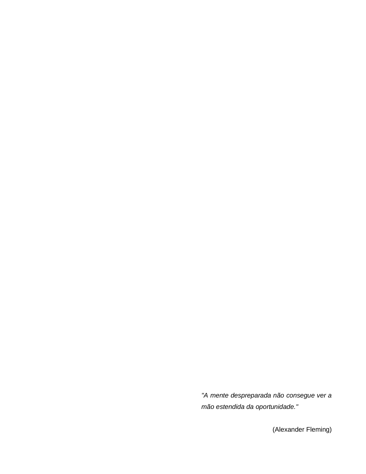*"A mente despreparada não consegue ver a mão estendida da oportunidade."*

(Alexander Fleming)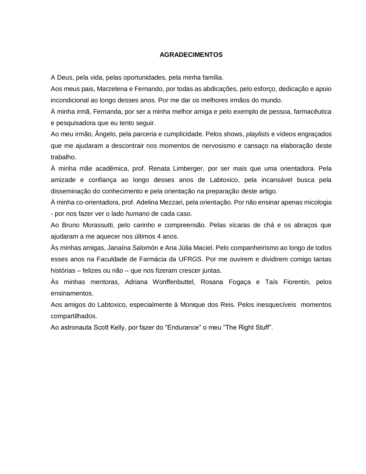#### **AGRADECIMENTOS**

A Deus, pela vida, pelas oportunidades, pela minha família.

Aos meus pais, Marzelena e Fernando, por todas as abdicações, pelo esforço, dedicação e apoio incondicional ao longo desses anos. Por me dar os melhores irmãos do mundo.

À minha irmã, Fernanda, por ser a minha melhor amiga e pelo exemplo de pessoa, farmacêutica e pesquisadora que eu tento seguir.

Ao meu irmão, Ângelo, pela parceria e cumplicidade. Pelos shows, *playlists* e vídeos engraçados que me ajudaram a descontrair nos momentos de nervosismo e cansaço na elaboração deste trabalho.

À minha mãe acadêmica, prof. Renata Limberger, por ser mais que uma orientadora. Pela amizade e confiança ao longo desses anos de Labtoxico, pela incansável busca pela disseminação do conhecimento e pela orientação na preparação deste artigo.

À minha co-orientadora, prof. Adelina Mezzari, pela orientação. Por não ensinar apenas micologia - por nos fazer ver o lado *humano* de cada caso.

Ao Bruno Morassutti, pelo carinho e compreensão. Pelas xícaras de chá e os abraços que ajudaram a me aquecer nos últimos 4 anos.

Às minhas amigas, Janaína Salomón e Ana Júlia Maciel. Pelo companheirismo ao longo de todos esses anos na Faculdade de Farmácia da UFRGS. Por me ouvirem e dividirem comigo tantas histórias – felizes ou não – que nos fizeram crescer juntas.

Às minhas mentoras, Adriana Wonffenbuttel, Rosana Fogaça e Taís Fiorentin, pelos ensinamentos.

Aos amigos do Labtoxico, especialmente à Monique dos Reis. Pelos inesquecíveis momentos compartilhados.

Ao astronauta Scott Kelly, por fazer do "Endurance" o meu "The Right Stuff".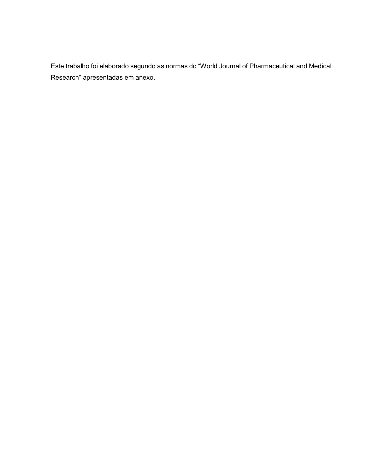Este trabalho foi elaborado segundo as normas do "World Journal of Pharmaceutical and Medical Research" apresentadas em anexo.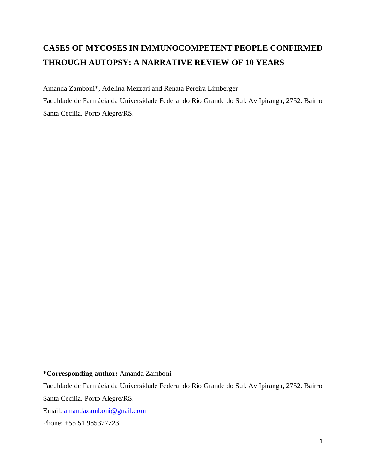# **CASES OF MYCOSES IN IMMUNOCOMPETENT PEOPLE CONFIRMED THROUGH AUTOPSY: A NARRATIVE REVIEW OF 10 YEARS**

Amanda Zamboni\*, Adelina Mezzari and Renata Pereira Limberger Faculdade de Farmácia da Universidade Federal do Rio Grande do Sul. Av Ipiranga, 2752. Bairro Santa Cecília. Porto Alegre/RS.

#### **\*Corresponding author:** Amanda Zamboni

Faculdade de Farmácia da Universidade Federal do Rio Grande do Sul. Av Ipiranga, 2752. Bairro Santa Cecília. Porto Alegre/RS. Email: [amandazamboni@gnail.com](mailto:amandazamboni@gnail.com) Phone: +55 51 985377723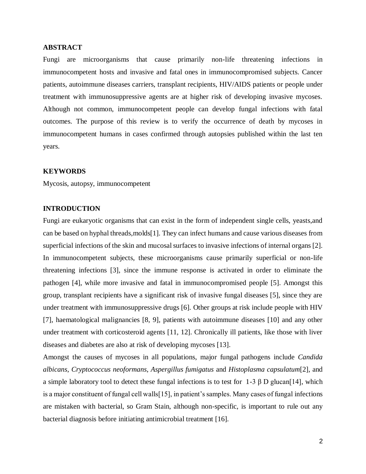#### **ABSTRACT**

Fungi are microorganisms that cause primarily non-life threatening infections in immunocompetent hosts and invasive and fatal ones in immunocompromised subjects. Cancer patients, autoimmune diseases carriers, transplant recipients, HIV/AIDS patients or people under treatment with immunosuppressive agents are at higher risk of developing invasive mycoses. Although not common, immunocompetent people can develop fungal infections with fatal outcomes. The purpose of this review is to verify the occurrence of death by mycoses in immunocompetent humans in cases confirmed through autopsies published within the last ten years.

#### **KEYWORDS**

Mycosis, autopsy, immunocompetent

## **INTRODUCTION**

Fungi are eukaryotic organisms that can exist in the form of independent single cells, yeasts,and can be based on hyphal threads,molds[1]. They can infect humans and cause various diseases from superficial infections of the skin and mucosal surfaces to invasive infections of internal organs [2]. In immunocompetent subjects, these microorganisms cause primarily superficial or non-life threatening infections [3], since the immune response is activated in order to eliminate the pathogen [4], while more invasive and fatal in immunocompromised people [5]. Amongst this group, transplant recipients have a significant risk of invasive fungal diseases [5], since they are under treatment with immunosuppressive drugs [6]. Other groups at risk include people with HIV [7], haematological malignancies [8, 9], patients with autoimmune diseases [10] and any other under treatment with corticosteroid agents [11, 12]. Chronically ill patients, like those with liver diseases and diabetes are also at risk of developing mycoses [13].

Amongst the causes of mycoses in all populations, major fungal pathogens include *Candida albicans*, *Cryptococcus neoformans*, *Aspergillus fumigatus* and *Histoplasma capsulatum*[2], and a simple laboratory tool to detect these fungal infections is to test for 1-3 β D glucan[14], which is a major constituent of fungal cell walls[15], in patient's samples. Many cases of fungal infections are mistaken with bacterial, so Gram Stain, although non-specific, is important to rule out any bacterial diagnosis before initiating antimicrobial treatment [16].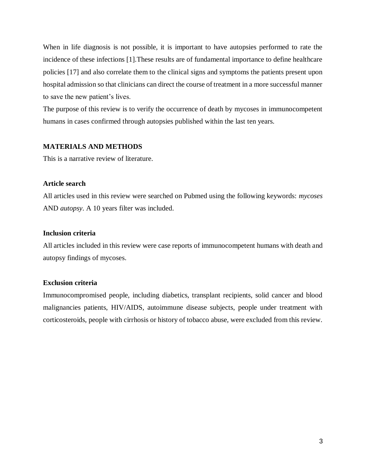When in life diagnosis is not possible, it is important to have autopsies performed to rate the incidence of these infections [1].These results are of fundamental importance to define healthcare policies [17] and also correlate them to the clinical signs and symptoms the patients present upon hospital admission so that clinicians can direct the course of treatment in a more successful manner to save the new patient's lives.

The purpose of this review is to verify the occurrence of death by mycoses in immunocompetent humans in cases confirmed through autopsies published within the last ten years.

#### **MATERIALS AND METHODS**

This is a narrative review of literature.

#### **Article search**

All articles used in this review were searched on Pubmed using the following keywords: *mycoses*  AND *autopsy*. A 10 years filter was included.

#### **Inclusion criteria**

All articles included in this review were case reports of immunocompetent humans with death and autopsy findings of mycoses.

#### **Exclusion criteria**

Immunocompromised people, including diabetics, transplant recipients, solid cancer and blood malignancies patients, HIV/AIDS, autoimmune disease subjects, people under treatment with corticosteroids, people with cirrhosis or history of tobacco abuse, were excluded from this review.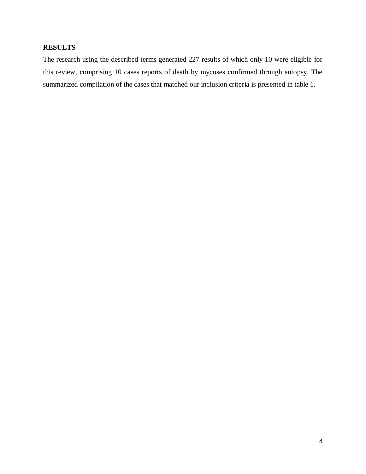# **RESULTS**

The research using the described terms generated 227 results of which only 10 were eligible for this review, comprising 10 cases reports of death by mycoses confirmed through autopsy. The summarized compilation of the cases that matched our inclusion criteria is presented in table 1.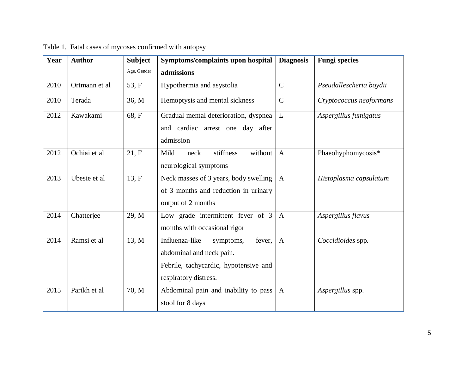| Year | <b>Author</b> | <b>Subject</b> | Symptoms/complaints upon hospital                                                                                                   | <b>Diagnosis</b> | <b>Fungi species</b>    |
|------|---------------|----------------|-------------------------------------------------------------------------------------------------------------------------------------|------------------|-------------------------|
|      |               | Age, Gender    | admissions                                                                                                                          |                  |                         |
| 2010 | Ortmann et al | 53, F          | Hypothermia and asystolia                                                                                                           | $\mathbf C$      | Pseudallescheria boydii |
| 2010 | Terada        | 36, M          | Hemoptysis and mental sickness                                                                                                      | $\overline{C}$   | Cryptococcus neoformans |
| 2012 | Kawakami      | 68, F          | Gradual mental deterioration, dyspnea<br>and cardiac arrest one day after<br>admission                                              | L                | Aspergillus fumigatus   |
| 2012 | Ochiai et al  | 21, F          | Mild<br>without<br>stiffness<br>neck<br>neurological symptoms                                                                       | $\overline{A}$   | Phaeohyphomycosis*      |
| 2013 | Ubesie et al  | 13, F          | Neck masses of 3 years, body swelling<br>of 3 months and reduction in urinary<br>output of 2 months                                 | $\mathbf{A}$     | Histoplasma capsulatum  |
| 2014 | Chatterjee    | 29, M          | Low grade intermittent fever of 3<br>months with occasional rigor                                                                   | $\mathbf{A}$     | Aspergillus flavus      |
| 2014 | Ramsi et al   | 13, M          | Influenza-like<br>fever,<br>symptoms,<br>abdominal and neck pain.<br>Febrile, tachycardic, hypotensive and<br>respiratory distress. | $\mathbf{A}$     | Coccidioides spp.       |
| 2015 | Parikh et al  | 70, M          | Abdominal pain and inability to pass<br>stool for 8 days                                                                            | $\mathbf{A}$     | Aspergillus spp.        |

Table 1. Fatal cases of mycoses confirmed with autopsy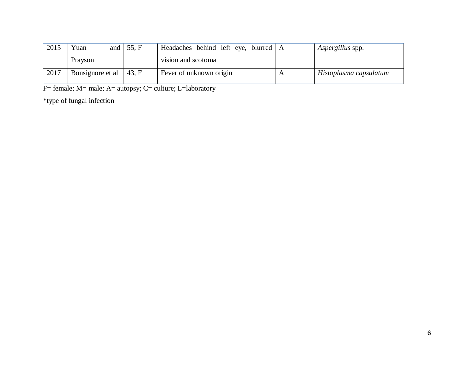| 2015 | Yuan             | and $\vert$ 55, F | Headaches behind left eye, blurred   A | Aspergillus spp.       |
|------|------------------|-------------------|----------------------------------------|------------------------|
|      | Prayson          |                   | vision and scotoma                     |                        |
| 2017 | Bonsignore et al | 43. F             | Fever of unknown origin                | Histoplasma capsulatum |

F= female; M= male; A= autopsy; C= culture; L=laboratory

\*type of fungal infection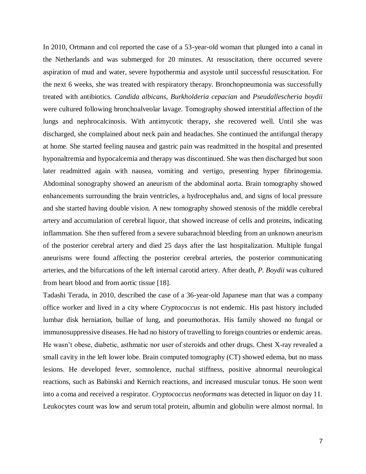In 2010, Ortmann and col reported the case of a 53-year-old woman that plunged into a canal in the Netherlands and was submerged for 20 minutes. At resuscitation, there occurred severe aspiration of mud and water, severe hypothermia and asystole until successful resuscitation. For the next 6 weeks, she was treated with respiratory therapy. Bronchopneumonia was successfully treated with antibiotics. *Candida albicans*, *Burkholderia cepacian* and *Pseudallescheria boydii* were cultured following bronchoalveolar lavage. Tomography showed interstitial affection of the lungs and nephrocalcinosis. With antimycotic therapy, she recovered well. Until she was discharged, she complained about neck pain and headaches. She continued the antifungal therapy at home. She started feeling nausea and gastric pain was readmitted in the hospital and presented hyponaltremia and hypocalcemia and therapy was discontinued. She was then discharged but soon later readmitted again with nausea, vomiting and vertigo, presenting hyper fibrinogemia. Abdominal sonography showed an aneurism of the abdominal aorta. Brain tomography showed enhancements surrounding the brain ventricles, a hydrocephalus and, and signs of local pressure and she started having double vision. A new tomography showed stenosis of the middle cerebral artery and accumulation of cerebral liquor, that showed increase of cells and proteins, indicating inflammation. She then suffered from a severe subarachnoid bleeding from an unknown aneurism of the posterior cerebral artery and died 25 days after the last hospitalization. Multiple fungal aneurisms were found affecting the posterior cerebral arteries, the posterior communicating arteries, and the bifurcations of the left internal carotid artery. After death, *P. Boydii* was cultured from heart blood and from aortic tissue [18].

Tadashi Terada, in 2010, described the case of a 36-year-old Japanese man that was a company office worker and lived in a city where *Cryptococcus* is not endemic. His past history included lumbar disk herniation, bullae of lung, and pneumothorax. His family showed no fungal or immunosuppressive diseases. He had no history of travelling to foreign countries or endemic areas. He wasn't obese, diabetic, asthmatic nor user of steroids and other drugs. Chest X-ray revealed a small cavity in the left lower lobe. Brain computed tomography (CT) showed edema, but no mass lesions. He developed fever, somnolence, nuchal stiffness, positive abnormal neurological reactions, such as Babinski and Kernich reactions, and increased muscular tonus. He soon went into a coma and received a respirator. *Cryptococcus neoformans* was detected in liquor on day 11. Leukocytes count was low and serum total protein, albumin and globulin were almost normal. In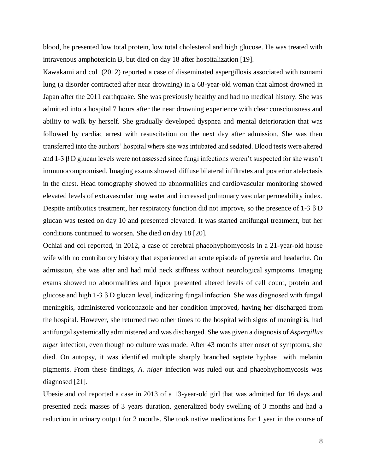blood, he presented low total protein, low total cholesterol and high glucose. He was treated with intravenous amphotericin B, but died on day 18 after hospitalization [19].

Kawakami and col (2012) reported a case of disseminated aspergillosis associated with tsunami lung (a disorder contracted after near drowning) in a 68-year-old woman that almost drowned in Japan after the 2011 earthquake. She was previously healthy and had no medical history. She was admitted into a hospital 7 hours after the near drowning experience with clear consciousness and ability to walk by herself. She gradually developed dyspnea and mental deterioration that was followed by cardiac arrest with resuscitation on the next day after admission. She was then transferred into the authors' hospital where she was intubated and sedated. Blood tests were altered and 1-3 β D glucan levels were not assessed since fungi infections weren't suspected for she wasn't immunocompromised. Imaging exams showed diffuse bilateral infiltrates and posterior atelectasis in the chest. Head tomography showed no abnormalities and cardiovascular monitoring showed elevated levels of extravascular lung water and increased pulmonary vascular permeability index. Despite antibiotics treatment, her respiratory function did not improve, so the presence of 1-3 β D glucan was tested on day 10 and presented elevated. It was started antifungal treatment, but her conditions continued to worsen. She died on day 18 [20].

Ochiai and col reported, in 2012, a case of cerebral phaeohyphomycosis in a 21-year-old house wife with no contributory history that experienced an acute episode of pyrexia and headache. On admission, she was alter and had mild neck stiffness without neurological symptoms. Imaging exams showed no abnormalities and liquor presented altered levels of cell count, protein and glucose and high 1-3  $\beta$  D glucan level, indicating fungal infection. She was diagnosed with fungal meningitis, administered voriconazole and her condition improved, having her discharged from the hospital. However, she returned two other times to the hospital with signs of meningitis, had antifungal systemically administered and was discharged. She was given a diagnosis of *Aspergillus niger* infection, even though no culture was made. After 43 months after onset of symptoms, she died. On autopsy, it was identified multiple sharply branched septate hyphae with melanin pigments. From these findings, *A. niger* infection was ruled out and phaeohyphomycosis was diagnosed [21].

Ubesie and col reported a case in 2013 of a 13-year-old girl that was admitted for 16 days and presented neck masses of 3 years duration, generalized body swelling of 3 months and had a reduction in urinary output for 2 months. She took native medications for 1 year in the course of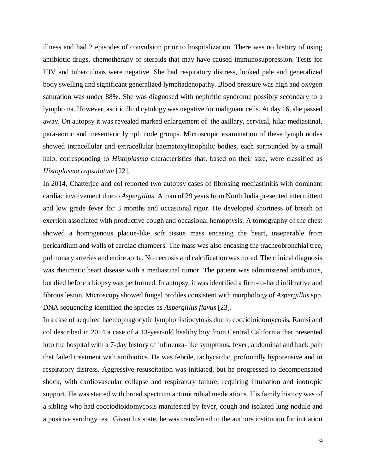illness and had 2 episodes of convulsion prior to hospitalization. There was no history of using antibiotic drugs, chemotherapy or steroids that may have caused immunosuppression. Tests for HIV and tuberculosis were negative. She had respiratory distress, looked pale and generalized body swelling and significant generalized lymphadenopathy. Blood pressure was high and oxygen saturation was under 88%. She was diagnosed with nephritic syndrome possibly secondary to a lymphoma. However, ascitic fluid cytology was negative for malignant cells. At day 16, she passed away. On autopsy it was revealed marked enlargement of the axillary, cervical, hilar mediastinal, para-aortic and mesenteric lymph node groups. Microscopic examination of these lymph nodes showed intracellular and extracellular haematoxylinophilic bodies, each surrounded by a small halo, corresponding to *Histoplasma* characteristics that, based on their size, were classified as *Histoplasma capsulatum* [22].

In 2014, Chatterjee and col reported two autopsy cases of fibrosing mediastinitis with dominant cardiac involvement due to *Aspergillus*. A man of 29 years from North India presented intermittent and low grade fever for 3 months and occasional rigor. He developed shortness of breath on exertion associated with productive cough and occasional hemoptysis. A tomography of the chest showed a homogenous plaque-like soft tissue mass encasing the heart, inseparable from pericardium and walls of cardiac chambers. The mass was also encasing the tracheobronchial tree, pulmonary arteries and entire aorta. No necrosis and calcification was noted. The clinical diagnosis was rheumatic heart disease with a mediastinal tumor. The patient was administered antibiotics, but died before a biopsy was performed. In autopsy, it was identified a firm-to-hard infiltrative and fibrous lesion. Microscopy showed fungal profiles consistent with morphology of *Aspergillus* spp. DNA sequencing identified the species as *Aspergillus flavus* [23].

In a case of acquired haemophagocytic lymphohistiocytosis due to coccidioidomycosis, Ramsi and col described in 2014 a case of a 13-year-old healthy boy from Central California that presented into the hospital with a 7-day history of influenza-like symptoms, fever, abdominal and back pain that failed treatment with antibiotics. He was febrile, tachycardic, profoundly hypotensive and in respiratory distress. Aggressive resuscitation was initiated, but he progressed to decompensated shock, with cardiovascular collapse and respiratory failure, requiring intubation and inotropic support. He was started with broad spectrum antimicrobial medications. His family history was of a sibling who had cocciodioidomycosis manifested by fever, cough and isolated lung nodule and a positive serology test. Given his state, he was transferred to the authors institution for initiation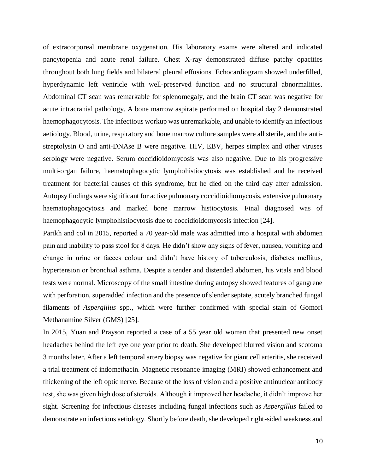of extracorporeal membrane oxygenation. His laboratory exams were altered and indicated pancytopenia and acute renal failure. Chest X-ray demonstrated diffuse patchy opacities throughout both lung fields and bilateral pleural effusions. Echocardiogram showed underfilled, hyperdynamic left ventricle with well-preserved function and no structural abnormalities. Abdominal CT scan was remarkable for splenomegaly, and the brain CT scan was negative for acute intracranial pathology. A bone marrow aspirate performed on hospital day 2 demonstrated haemophagocytosis. The infectious workup was unremarkable, and unable to identify an infectious aetiology. Blood, urine, respiratory and bone marrow culture samples were all sterile, and the antistreptolysin O and anti-DNAse B were negative. HIV, EBV, herpes simplex and other viruses serology were negative. Serum coccidioidomycosis was also negative. Due to his progressive multi-organ failure, haematophagocytic lymphohistiocytosis was established and he received treatment for bacterial causes of this syndrome, but he died on the third day after admission. Autopsy findings were significant for active pulmonary coccidioidiomycosis, extensive pulmonary haematophagocytosis and marked bone marrow histiocytosis. Final diagnosed was of haemophagocytic lymphohistiocytosis due to coccidioidomycosis infection [24].

Parikh and col in 2015, reported a 70 year-old male was admitted into a hospital with abdomen pain and inability to pass stool for 8 days. He didn't show any signs of fever, nausea, vomiting and change in urine or faeces colour and didn't have history of tuberculosis, diabetes mellitus, hypertension or bronchial asthma. Despite a tender and distended abdomen, his vitals and blood tests were normal. Microscopy of the small intestine during autopsy showed features of gangrene with perforation, superadded infection and the presence of slender septate, acutely branched fungal filaments of *Aspergillus* spp., which were further confirmed with special stain of Gomori Methanamine Silver (GMS) [25].

In 2015, Yuan and Prayson reported a case of a 55 year old woman that presented new onset headaches behind the left eye one year prior to death. She developed blurred vision and scotoma 3 months later. After a left temporal artery biopsy was negative for giant cell arteritis, she received a trial treatment of indomethacin. Magnetic resonance imaging (MRI) showed enhancement and thickening of the left optic nerve. Because of the loss of vision and a positive antinuclear antibody test, she was given high dose of steroids. Although it improved her headache, it didn't improve her sight. Screening for infectious diseases including fungal infections such as *Aspergillus* failed to demonstrate an infectious aetiology. Shortly before death, she developed right-sided weakness and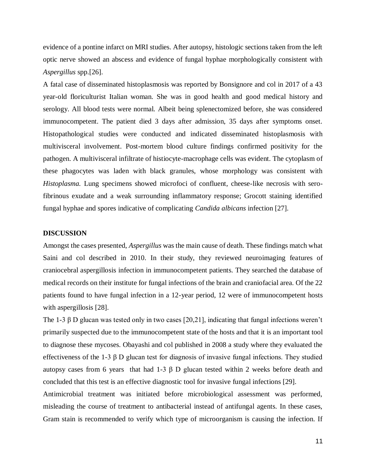evidence of a pontine infarct on MRI studies. After autopsy, histologic sections taken from the left optic nerve showed an abscess and evidence of fungal hyphae morphologically consistent with *Aspergillus* spp.[26].

A fatal case of disseminated histoplasmosis was reported by Bonsignore and col in 2017 of a 43 year-old floriculturist Italian woman. She was in good health and good medical history and serology. All blood tests were normal. Albeit being splenectomized before, she was considered immunocompetent. The patient died 3 days after admission, 35 days after symptoms onset. Histopathological studies were conducted and indicated disseminated histoplasmosis with multivisceral involvement. Post-mortem blood culture findings confirmed positivity for the pathogen. A multivisceral infiltrate of histiocyte-macrophage cells was evident. The cytoplasm of these phagocytes was laden with black granules, whose morphology was consistent with *Histoplasma.* Lung specimens showed microfoci of confluent, cheese-like necrosis with serofibrinous exudate and a weak surrounding inflammatory response; Grocott staining identified fungal hyphae and spores indicative of complicating *Candida albicans* infection [27].

#### **DISCUSSION**

Amongst the cases presented, *Aspergillus* was the main cause of death. These findings match what Saini and col described in 2010. In their study, they reviewed neuroimaging features of craniocebral aspergillosis infection in immunocompetent patients. They searched the database of medical records on their institute for fungal infections of the brain and craniofacial area. Of the 22 patients found to have fungal infection in a 12-year period, 12 were of immunocompetent hosts with aspergillosis [28].

The 1-3  $\beta$  D glucan was tested only in two cases [20,21], indicating that fungal infections weren't primarily suspected due to the immunocompetent state of the hosts and that it is an important tool to diagnose these mycoses. Obayashi and col published in 2008 a study where they evaluated the effectiveness of the 1-3  $\beta$  D glucan test for diagnosis of invasive fungal infections. They studied autopsy cases from 6 years that had 1-3 β D glucan tested within 2 weeks before death and concluded that this test is an effective diagnostic tool for invasive fungal infections [29].

Antimicrobial treatment was initiated before microbiological assessment was performed, misleading the course of treatment to antibacterial instead of antifungal agents. In these cases, Gram stain is recommended to verify which type of microorganism is causing the infection. If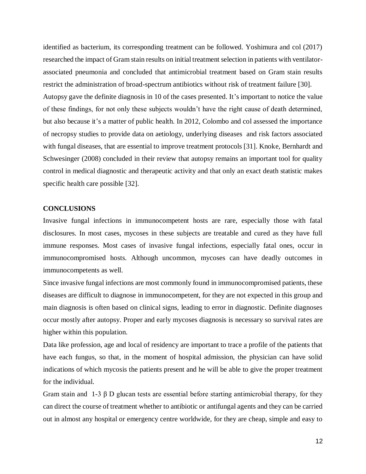identified as bacterium, its corresponding treatment can be followed. Yoshimura and col (2017) researched the impact of Gram stain results on initial treatment selection in patients with ventilatorassociated pneumonia and concluded that antimicrobial treatment based on Gram stain results restrict the administration of broad-spectrum antibiotics without risk of treatment failure [30]. Autopsy gave the definite diagnosis in 10 of the cases presented. It's important to notice the value of these findings, for not only these subjects wouldn't have the right cause of death determined, but also because it's a matter of public health. In 2012, Colombo and col assessed the importance of necropsy studies to provide data on aetiology, underlying diseases and risk factors associated with fungal diseases, that are essential to improve treatment protocols [31]. Knoke, Bernhardt and Schwesinger (2008) concluded in their review that autopsy remains an important tool for quality control in medical diagnostic and therapeutic activity and that only an exact death statistic makes specific health care possible [32].

#### **CONCLUSIONS**

Invasive fungal infections in immunocompetent hosts are rare, especially those with fatal disclosures. In most cases, mycoses in these subjects are treatable and cured as they have full immune responses. Most cases of invasive fungal infections, especially fatal ones, occur in immunocompromised hosts. Although uncommon, mycoses can have deadly outcomes in immunocompetents as well.

Since invasive fungal infections are most commonly found in immunocompromised patients, these diseases are difficult to diagnose in immunocompetent, for they are not expected in this group and main diagnosis is often based on clinical signs, leading to error in diagnostic. Definite diagnoses occur mostly after autopsy. Proper and early mycoses diagnosis is necessary so survival rates are higher within this population.

Data like profession, age and local of residency are important to trace a profile of the patients that have each fungus, so that, in the moment of hospital admission, the physician can have solid indications of which mycosis the patients present and he will be able to give the proper treatment for the individual.

Gram stain and 1-3  $\beta$  D glucan tests are essential before starting antimicrobial therapy, for they can direct the course of treatment whether to antibiotic or antifungal agents and they can be carried out in almost any hospital or emergency centre worldwide, for they are cheap, simple and easy to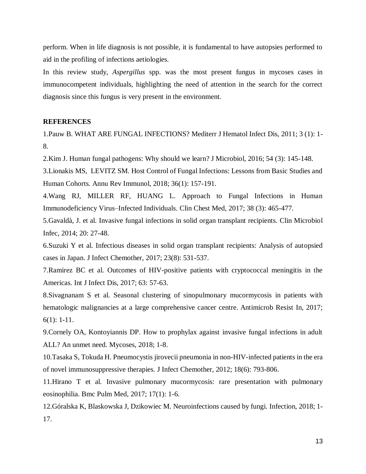perform. When in life diagnosis is not possible, it is fundamental to have autopsies performed to aid in the profiling of infections aetiologies.

In this review study, *Aspergillus* spp. was the most present fungus in mycoses cases in immunocompetent individuals, highlighting the need of attention in the search for the correct diagnosis since this fungus is very present in the environment.

#### **REFERENCES**

1.Pauw B. WHAT ARE FUNGAL INFECTIONS? Mediterr J Hematol Infect Dis, 2011; 3 (1): 1- 8.

2.Kim J. Human fungal pathogens: Why should we learn? J Microbiol, 2016; 54 (3): 145-148.

3.Lionakis MS, LEVITZ SM. Host Control of Fungal Infections: Lessons from Basic Studies and Human Cohorts. Annu Rev Immunol, 2018; 36(1): 157-191.

4.Wang RJ, MILLER RF, HUANG L. Approach to Fungal Infections in Human Immunodeficiency Virus–Infected Individuals. Clin Chest Med, 2017; 38 (3): 465-477.

5.Gavaldà, J. et al. Invasive fungal infections in solid organ transplant recipients. Clin Microbiol Infec, 2014; 20: 27-48.

6.Suzuki Y et al. Infectious diseases in solid organ transplant recipients: Analysis of autopsied cases in Japan. J Infect Chemother, 2017; 23(8): 531-537.

7.Ramirez BC et al. Outcomes of HIV-positive patients with cryptococcal meningitis in the Americas. Int J Infect Dis, 2017; 63: 57-63.

8.Sivagnanam S et al. Seasonal clustering of sinopulmonary mucormycosis in patients with hematologic malignancies at a large comprehensive cancer centre. Antimicrob Resist In, 2017; 6(1): 1-11.

9.Cornely OA, Kontoyiannis DP. How to prophylax against invasive fungal infections in adult ALL? An unmet need. Mycoses, 2018; 1-8.

10.Tasaka S, Tokuda H. Pneumocystis jirovecii pneumonia in non-HIV-infected patients in the era of novel immunosuppressive therapies. J Infect Chemother, 2012; 18(6): 793-806.

11.Hirano T et al. Invasive pulmonary mucormycosis: rare presentation with pulmonary eosinophilia. Bmc Pulm Med, 2017; 17(1): 1-6.

12.Góralska K, Blaskowska J, Dzikowiec M. Neuroinfections caused by fungi. Infection, 2018; 1- 17.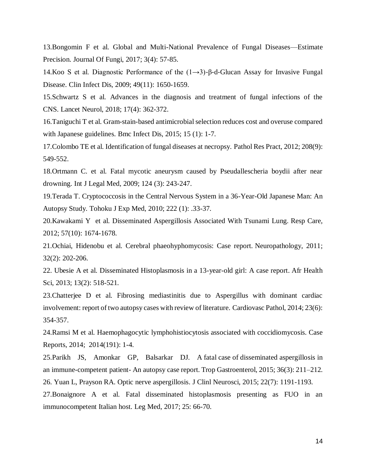13.Bongomin F et al. Global and Multi-National Prevalence of Fungal Diseases—Estimate Precision. Journal Of Fungi, 2017; 3(4): 57-85.

14. Koo S et al. Diagnostic Performance of the  $(1\rightarrow 3)$ -β-d-Glucan Assay for Invasive Fungal Disease. Clin Infect Dis, 2009; 49(11): 1650-1659.

15.Schwartz S et al. Advances in the diagnosis and treatment of fungal infections of the CNS. Lancet Neurol, 2018; 17(4): 362-372.

16.Taniguchi T et al. Gram-stain-based antimicrobial selection reduces cost and overuse compared with Japanese guidelines. Bmc Infect Dis, 2015; 15 (1): 1-7.

17.Colombo TE et al. Identification of fungal diseases at necropsy. Pathol Res Pract, 2012; 208(9): 549-552.

18.Ortmann C. et al. Fatal mycotic aneurysm caused by Pseudallescheria boydii after near drowning. Int J Legal Med, 2009; 124 (3): 243-247.

19.Terada T. Cryptococcosis in the Central Nervous System in a 36-Year-Old Japanese Man: An Autopsy Study. Tohoku J Exp Med, 2010; 222 (1): .33-37.

20.Kawakami Y et al. Disseminated Aspergillosis Associated With Tsunami Lung. Resp Care, 2012; 57(10): 1674-1678.

21.Ochiai, Hidenobu et al. Cerebral phaeohyphomycosis: Case report. Neuropathology, 2011; 32(2): 202-206.

22. Ubesie A et al. Disseminated Histoplasmosis in a 13-year-old girl: A case report. Afr Health Sci, 2013; 13(2): 518-521.

23.Chatterjee D et al. Fibrosing mediastinitis due to Aspergillus with dominant cardiac involvement: report of two autopsy cases with review of literature. Cardiovasc Pathol, 2014; 23(6): 354-357.

24.Ramsi M et al. Haemophagocytic lymphohistiocytosis associated with coccidiomycosis. Case Reports, 2014; 2014(191): 1-4.

25.Parikh JS, Amonkar GP, Balsarkar DJ. A fatal case of disseminated aspergillosis in an immune-competent patient- An autopsy case report. Trop Gastroenterol, 2015; 36(3): 211–212. 26. Yuan L, Prayson RA. Optic nerve aspergillosis. J Clinl Neurosci, 2015; 22(7): 1191-1193.

27.Bonaignore A et al. Fatal disseminated histoplasmosis presenting as FUO in an immunocompetent Italian host. Leg Med, 2017; 25: 66-70.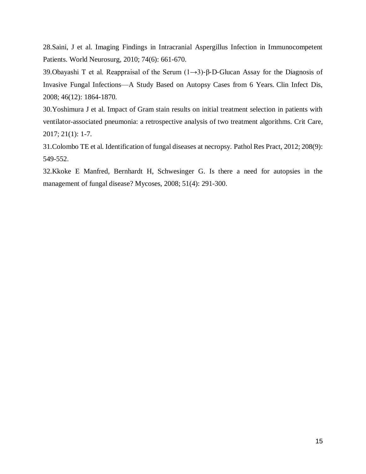28.Saini, J et al. Imaging Findings in Intracranial Aspergillus Infection in Immunocompetent Patients. World Neurosurg, 2010; 74(6): 661-670.

39.Obayashi T et al. Reappraisal of the Serum (1→3)‐β‐D‐Glucan Assay for the Diagnosis of Invasive Fungal Infections—A Study Based on Autopsy Cases from 6 Years. Clin Infect Dis, 2008; 46(12): 1864-1870.

30.Yoshimura J et al. Impact of Gram stain results on initial treatment selection in patients with ventilator-associated pneumonia: a retrospective analysis of two treatment algorithms. Crit Care, 2017; 21(1): 1-7.

31.Colombo TE et al. Identification of fungal diseases at necropsy. Pathol Res Pract, 2012; 208(9): 549-552.

32.Kkoke E Manfred, Bernhardt H, Schwesinger G. Is there a need for autopsies in the management of fungal disease? Mycoses, 2008; 51(4): 291-300.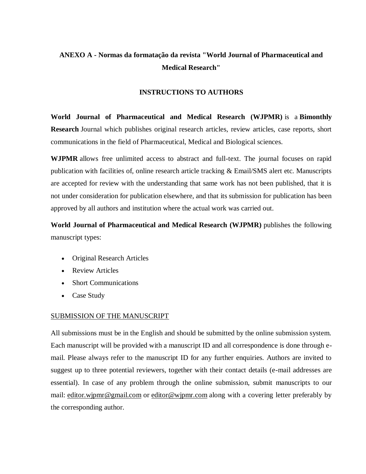# **ANEXO A - Normas da formatação da revista "World Journal of Pharmaceutical and Medical Research"**

# **INSTRUCTIONS TO AUTHORS**

**World Journal of Pharmaceutical and Medical Research (WJPMR)** is a **Bimonthly Research** Journal which publishes original research articles, review articles, case reports, short communications in the field of Pharmaceutical, Medical and Biological sciences.

**WJPMR** allows free unlimited access to abstract and full-text. The journal focuses on rapid publication with facilities of, online research article tracking & Email/SMS alert etc. Manuscripts are accepted for review with the understanding that same work has not been published, that it is not under consideration for publication elsewhere, and that its submission for publication has been approved by all authors and institution where the actual work was carried out.

**World Journal of Pharmaceutical and Medical Research (WJPMR)** publishes the following manuscript types:

- Original Research Articles
- Review Articles
- Short Communications
- Case Study

### SUBMISSION OF THE MANUSCRIPT

All submissions must be in the English and should be submitted by the online submission system. Each manuscript will be provided with a manuscript ID and all correspondence is done through email. Please always refer to the manuscript ID for any further enquiries. Authors are invited to suggest up to three potential reviewers, together with their contact details (e-mail addresses are essential). In case of any problem through the online submission, submit manuscripts to our mail: [editor.wjpmr@gmail.com](http://www.wjpmr.com/author-instruction) or [editor@wjpmr.com](http://www.wjpmr.com/author-instruction) along with a covering letter preferably by the corresponding author.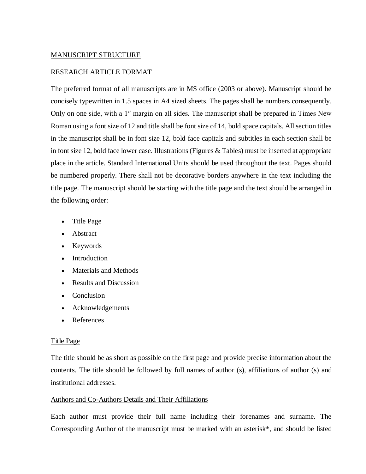# MANUSCRIPT STRUCTURE

## RESEARCH ARTICLE FORMAT

The preferred format of all manuscripts are in MS office (2003 or above). Manuscript should be concisely typewritten in 1.5 spaces in A4 sized sheets. The pages shall be numbers consequently. Only on one side, with a 1″ margin on all sides. The manuscript shall be prepared in Times New Roman using a font size of 12 and title shall be font size of 14, bold space capitals. All section titles in the manuscript shall be in font size 12, bold face capitals and subtitles in each section shall be in font size 12, bold face lower case. Illustrations (Figures & Tables) must be inserted at appropriate place in the article. Standard International Units should be used throughout the text. Pages should be numbered properly. There shall not be decorative borders anywhere in the text including the title page. The manuscript should be starting with the title page and the text should be arranged in the following order:

- Title Page
- Abstract
- Keywords
- Introduction
- Materials and Methods
- Results and Discussion
- Conclusion
- Acknowledgements
- References

### Title Page

The title should be as short as possible on the first page and provide precise information about the contents. The title should be followed by full names of author (s), affiliations of author (s) and institutional addresses.

### Authors and Co-Authors Details and Their Affiliations

Each author must provide their full name including their forenames and surname. The Corresponding Author of the manuscript must be marked with an asterisk\*, and should be listed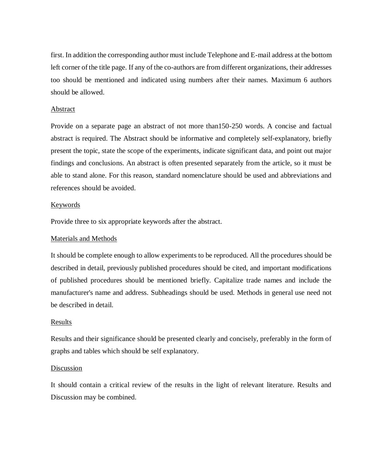first. In addition the corresponding author must include Telephone and E-mail address at the bottom left corner of the title page. If any of the co-authors are from different organizations, their addresses too should be mentioned and indicated using numbers after their names. Maximum 6 authors should be allowed.

#### Abstract

Provide on a separate page an abstract of not more than150-250 words. A concise and factual abstract is required. The Abstract should be informative and completely self-explanatory, briefly present the topic, state the scope of the experiments, indicate significant data, and point out major findings and conclusions. An abstract is often presented separately from the article, so it must be able to stand alone. For this reason, standard nomenclature should be used and abbreviations and references should be avoided.

#### Keywords

Provide three to six appropriate keywords after the abstract.

### Materials and Methods

It should be complete enough to allow experiments to be reproduced. All the procedures should be described in detail, previously published procedures should be cited, and important modifications of published procedures should be mentioned briefly. Capitalize trade names and include the manufacturer's name and address. Subheadings should be used. Methods in general use need not be described in detail.

### Results

Results and their significance should be presented clearly and concisely, preferably in the form of graphs and tables which should be self explanatory.

#### Discussion

It should contain a critical review of the results in the light of relevant literature. Results and Discussion may be combined.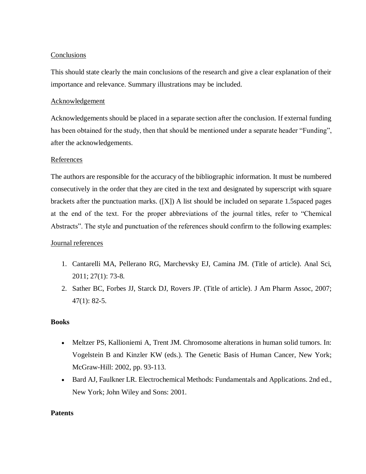## Conclusions

This should state clearly the main conclusions of the research and give a clear explanation of their importance and relevance. Summary illustrations may be included.

## Acknowledgement

Acknowledgements should be placed in a separate section after the conclusion. If external funding has been obtained for the study, then that should be mentioned under a separate header "Funding", after the acknowledgements.

# References

The authors are responsible for the accuracy of the bibliographic information. It must be numbered consecutively in the order that they are cited in the text and designated by superscript with square brackets after the punctuation marks. ([X]) A list should be included on separate 1.5spaced pages at the end of the text. For the proper abbreviations of the journal titles, refer to "Chemical Abstracts". The style and punctuation of the references should confirm to the following examples:

### Journal references

- 1. Cantarelli MA, Pellerano RG, Marchevsky EJ, Camina JM. (Title of article). Anal Sci, 2011; 27(1): 73-8.
- 2. Sather BC, Forbes JJ, Starck DJ, Rovers JP. (Title of article). J Am Pharm Assoc, 2007; 47(1): 82-5.

### **Books**

- Meltzer PS, Kallioniemi A, Trent JM. Chromosome alterations in human solid tumors. In: Vogelstein B and Kinzler KW (eds.). The Genetic Basis of Human Cancer, New York; McGraw-Hill: 2002, pp. 93-113.
- Bard AJ, Faulkner LR. Electrochemical Methods: Fundamentals and Applications. 2nd ed., New York; John Wiley and Sons: 2001.

### **Patents**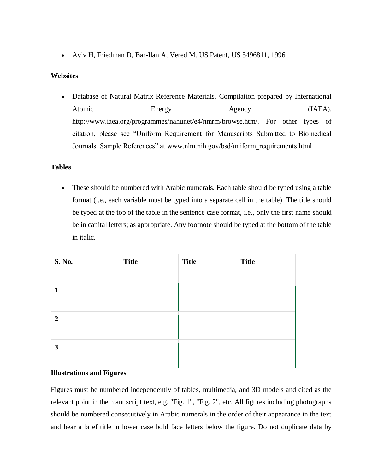Aviv H, Friedman D, Bar-Ilan A, Vered M. US Patent, US 5496811, 1996.

## **Websites**

 Database of Natural Matrix Reference Materials, Compilation prepared by International Atomic Energy Agency (IAEA), http://www.iaea.org/programmes/nahunet/e4/nmrm/browse.htm/. For other types of citation, please see "Uniform Requirement for Manuscripts Submitted to Biomedical Journals: Sample References" at www.nlm.nih.gov/bsd/uniform\_requirements.html

### **Tables**

 These should be numbered with Arabic numerals. Each table should be typed using a table format (i.e., each variable must be typed into a separate cell in the table). The title should be typed at the top of the table in the sentence case format, i.e., only the first name should be in capital letters; as appropriate. Any footnote should be typed at the bottom of the table in italic.

| S. No.         | <b>Title</b> | <b>Title</b> | <b>Title</b> |
|----------------|--------------|--------------|--------------|
| $\mathbf{1}$   |              |              |              |
| $\overline{2}$ |              |              |              |
| 3              |              |              |              |

#### **Illustrations and Figures**

Figures must be numbered independently of tables, multimedia, and 3D models and cited as the relevant point in the manuscript text, e.g. "Fig. 1", "Fig. 2", etc. All figures including photographs should be numbered consecutively in Arabic numerals in the order of their appearance in the text and bear a brief title in lower case bold face letters below the figure. Do not duplicate data by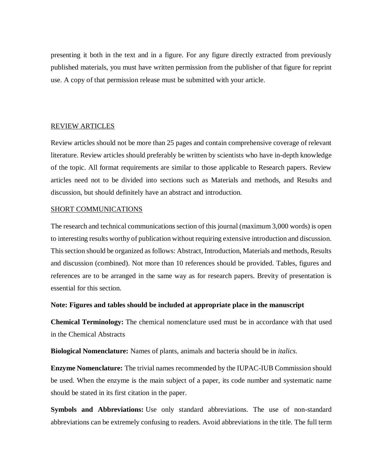presenting it both in the text and in a figure. For any figure directly extracted from previously published materials, you must have written permission from the publisher of that figure for reprint use. A copy of that permission release must be submitted with your article.

#### REVIEW ARTICLES

Review articles should not be more than 25 pages and contain comprehensive coverage of relevant literature. Review articles should preferably be written by scientists who have in-depth knowledge of the topic. All format requirements are similar to those applicable to Research papers. Review articles need not to be divided into sections such as Materials and methods, and Results and discussion, but should definitely have an abstract and introduction.

#### SHORT COMMUNICATIONS

The research and technical communications section of this journal (maximum 3,000 words) is open to interesting results worthy of publication without requiring extensive introduction and discussion. This section should be organized as follows: Abstract, Introduction, Materials and methods, Results and discussion (combined). Not more than 10 references should be provided. Tables, figures and references are to be arranged in the same way as for research papers. Brevity of presentation is essential for this section.

### **Note: Figures and tables should be included at appropriate place in the manuscript**

**Chemical Terminology:** The chemical nomenclature used must be in accordance with that used in the Chemical Abstracts

**Biological Nomenclature:** Names of plants, animals and bacteria should be in *italics*.

**Enzyme Nomenclature:** The trivial names recommended by the IUPAC-IUB Commission should be used. When the enzyme is the main subject of a paper, its code number and systematic name should be stated in its first citation in the paper.

**Symbols and Abbreviations:** Use only standard abbreviations. The use of non-standard abbreviations can be extremely confusing to readers. Avoid abbreviations in the title. The full term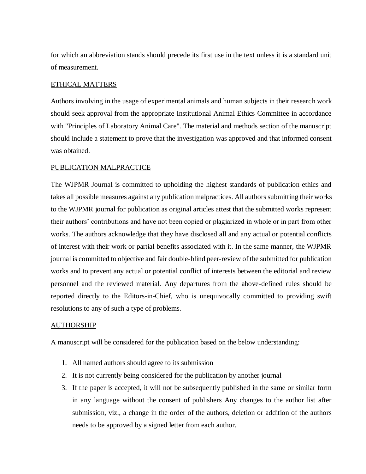for which an abbreviation stands should precede its first use in the text unless it is a standard unit of measurement.

### ETHICAL MATTERS

Authors involving in the usage of experimental animals and human subjects in their research work should seek approval from the appropriate Institutional Animal Ethics Committee in accordance with "Principles of Laboratory Animal Care". The material and methods section of the manuscript should include a statement to prove that the investigation was approved and that informed consent was obtained.

#### PUBLICATION MALPRACTICE

The WJPMR Journal is committed to upholding the highest standards of publication ethics and takes all possible measures against any publication malpractices. All authors submitting their works to the WJPMR journal for publication as original articles attest that the submitted works represent their authors' contributions and have not been copied or plagiarized in whole or in part from other works. The authors acknowledge that they have disclosed all and any actual or potential conflicts of interest with their work or partial benefits associated with it. In the same manner, the WJPMR journal is committed to objective and fair double-blind peer-review of the submitted for publication works and to prevent any actual or potential conflict of interests between the editorial and review personnel and the reviewed material. Any departures from the above-defined rules should be reported directly to the Editors-in-Chief, who is unequivocally committed to providing swift resolutions to any of such a type of problems.

#### **AUTHORSHIP**

A manuscript will be considered for the publication based on the below understanding:

- 1. All named authors should agree to its submission
- 2. It is not currently being considered for the publication by another journal
- 3. If the paper is accepted, it will not be subsequently published in the same or similar form in any language without the consent of publishers Any changes to the author list after submission, viz., a change in the order of the authors, deletion or addition of the authors needs to be approved by a signed letter from each author.